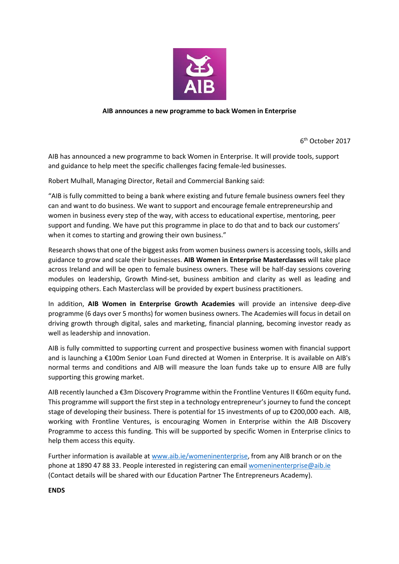

## **AIB announces a new programme to back Women in Enterprise**

6 th October 2017

AIB has announced a new programme to back Women in Enterprise. It will provide tools, support and guidance to help meet the specific challenges facing female-led businesses.

Robert Mulhall, Managing Director, Retail and Commercial Banking said:

"AIB is fully committed to being a bank where existing and future female business owners feel they can and want to do business. We want to support and encourage female entrepreneurship and women in business every step of the way, with access to educational expertise, mentoring, peer support and funding. We have put this programme in place to do that and to back our customers' when it comes to starting and growing their own business."

Research shows that one of the biggest asks from women business ownersis accessing tools, skills and guidance to grow and scale their businesses. **AIB Women in Enterprise Masterclasses** will take place across Ireland and will be open to female business owners. These will be half-day sessions covering modules on leadership, Growth Mind-set, business ambition and clarity as well as leading and equipping others. Each Masterclass will be provided by expert business practitioners.

In addition, **AIB Women in Enterprise Growth Academies** will provide an intensive deep-dive programme (6 days over 5 months) for women business owners. The Academies will focus in detail on driving growth through digital, sales and marketing, financial planning, becoming investor ready as well as leadership and innovation.

AIB is fully committed to supporting current and prospective business women with financial support and is launching a €100m Senior Loan Fund directed at Women in Enterprise. It is available on AIB's normal terms and conditions and AIB will measure the loan funds take up to ensure AIB are fully supporting this growing market.

AIB recently launched a €3m Discovery Programme within the Frontline Ventures II €60m equity fund**.**  This programme will support the first step in a technology entrepreneur's journey to fund the concept stage of developing their business. There is potential for 15 investments of up to €200,000 each. AIB, working with Frontline Ventures, is encouraging Women in Enterprise within the AIB Discovery Programme to access this funding. This will be supported by specific Women in Enterprise clinics to help them access this equity.

Further information is available at [www.aib.ie/womeninenterprise,](http://www.aib.ie/womeninenterprise) from any AIB branch or on the phone at 1890 47 88 33. People interested in registering can email [womeninenterprise@aib.ie](mailto:womeninenterprise@aib.ie) (Contact details will be shared with our Education Partner The Entrepreneurs Academy).

**ENDS**